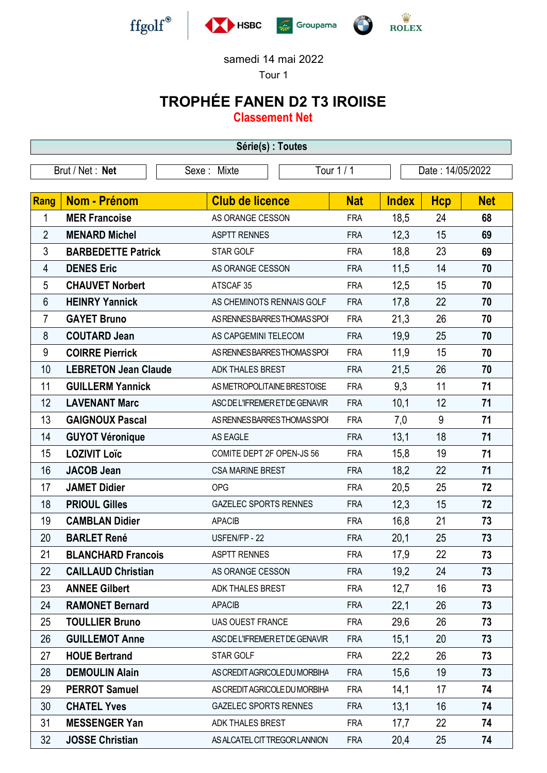

## samedi 14 mai 2022

Tour 1

## TROPHÉE FANEN D2 T3 IROIISE

Classement Net

| Série(s) : Toutes |                                                                   |                                |            |              |            |            |
|-------------------|-------------------------------------------------------------------|--------------------------------|------------|--------------|------------|------------|
|                   | Tour 1 / 1<br>Date: 14/05/2022<br>Brut / Net : Net<br>Sexe: Mixte |                                |            |              |            |            |
| <b>Rang</b>       | <b>Nom - Prénom</b>                                               | <b>Club de licence</b>         | <b>Nat</b> | <b>Index</b> | <b>Hcp</b> | <b>Net</b> |
| 1                 | <b>MER Francoise</b>                                              | AS ORANGE CESSON               | <b>FRA</b> | 18,5         | 24         | 68         |
| $\overline{2}$    | <b>MENARD Michel</b>                                              | <b>ASPTT RENNES</b>            | <b>FRA</b> | 12,3         | 15         | 69         |
| 3                 | <b>BARBEDETTE Patrick</b>                                         | STAR GOLF                      | <b>FRA</b> | 18,8         | 23         | 69         |
| 4                 | <b>DENES Eric</b>                                                 | AS ORANGE CESSON               | <b>FRA</b> | 11,5         | 14         | 70         |
| 5                 | <b>CHAUVET Norbert</b>                                            | ATSCAF <sub>35</sub>           | <b>FRA</b> | 12,5         | 15         | 70         |
| 6                 | <b>HEINRY Yannick</b>                                             | AS CHEMINOTS RENNAIS GOLF      | <b>FRA</b> | 17,8         | 22         | 70         |
| $\overline{7}$    | <b>GAYET Bruno</b>                                                | AS RENNES BARRES THOMAS SPOI   | <b>FRA</b> | 21,3         | 26         | 70         |
| 8                 | <b>COUTARD Jean</b>                                               | AS CAPGEMINI TELECOM           | <b>FRA</b> | 19,9         | 25         | 70         |
| 9                 | <b>COIRRE Pierrick</b>                                            | AS RENNES BARRES THOMAS SPOI   | <b>FRA</b> | 11,9         | 15         | 70         |
| 10                | <b>LEBRETON Jean Claude</b>                                       | ADK THALES BREST               | <b>FRA</b> | 21,5         | 26         | 70         |
| 11                | <b>GUILLERM Yannick</b>                                           | AS METROPOLITAINE BRESTOISE    | <b>FRA</b> | 9,3          | 11         | 71         |
| 12                | <b>LAVENANT Marc</b>                                              | ASC DE L'IFREMER ET DE GENAVIR | <b>FRA</b> | 10,1         | 12         | 71         |
| 13                | <b>GAIGNOUX Pascal</b>                                            | AS RENNES BARRES THOMAS SPOI   | <b>FRA</b> | 7,0          | 9          | 71         |
| 14                | <b>GUYOT Véronique</b>                                            | AS EAGLE                       | <b>FRA</b> | 13,1         | 18         | 71         |
| 15                | <b>LOZIVIT Loïc</b>                                               | COMITE DEPT 2F OPEN-JS 56      | <b>FRA</b> | 15,8         | 19         | 71         |
| 16                | <b>JACOB Jean</b>                                                 | <b>CSA MARINE BREST</b>        | <b>FRA</b> | 18,2         | 22         | 71         |
| 17                | <b>JAMET Didier</b>                                               | <b>OPG</b>                     | <b>FRA</b> | 20,5         | 25         | 72         |
| 18                | <b>PRIOUL Gilles</b>                                              | <b>GAZELEC SPORTS RENNES</b>   | <b>FRA</b> | 12,3         | 15         | 72         |
| 19                | <b>CAMBLAN Didier</b>                                             | <b>APACIB</b>                  | <b>FRA</b> | 16,8         | 21         | 73         |
| 20                | <b>BARLET René</b>                                                | USFEN/FP - 22                  | <b>FRA</b> | 20,1         | 25         | 73         |
| 21                | <b>BLANCHARD Francois</b>                                         | <b>ASPTT RENNES</b>            | <b>FRA</b> | 17,9         | 22         | 73         |
| 22                | <b>CAILLAUD Christian</b>                                         | AS ORANGE CESSON               | <b>FRA</b> | 19,2         | 24         | 73         |
| 23                | <b>ANNEE Gilbert</b>                                              | <b>ADK THALES BREST</b>        | <b>FRA</b> | 12,7         | 16         | 73         |
| 24                | <b>RAMONET Bernard</b>                                            | <b>APACIB</b>                  | <b>FRA</b> | 22,1         | 26         | 73         |
| 25                | <b>TOULLIER Bruno</b>                                             | <b>UAS OUEST FRANCE</b>        | <b>FRA</b> | 29,6         | 26         | 73         |
| 26                | <b>GUILLEMOT Anne</b>                                             | ASC DE L'IFREMER ET DE GENAVIR | <b>FRA</b> | 15,1         | 20         | 73         |
| 27                | <b>HOUE Bertrand</b>                                              | STAR GOLF                      | <b>FRA</b> | 22,2         | 26         | 73         |
| 28                | <b>DEMOULIN Alain</b>                                             | AS CREDIT AGRICOLE DU MORBIHA  | <b>FRA</b> | 15,6         | 19         | 73         |
| 29                | <b>PERROT Samuel</b>                                              | AS CREDIT AGRICOLE DU MORBIHA  | <b>FRA</b> | 14,1         | 17         | 74         |
| 30                | <b>CHATEL Yves</b>                                                | <b>GAZELEC SPORTS RENNES</b>   | <b>FRA</b> | 13,1         | 16         | 74         |
| 31                | <b>MESSENGER Yan</b>                                              | ADK THALES BREST               | <b>FRA</b> | 17,7         | 22         | 74         |
| 32                | <b>JOSSE Christian</b>                                            | AS ALCATEL CIT TREGOR LANNION  | <b>FRA</b> | 20,4         | 25         | 74         |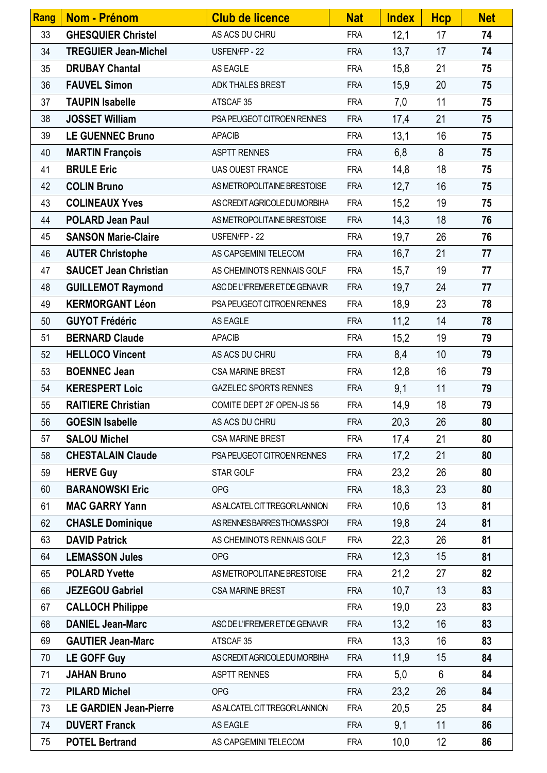| Rang | Nom - Prénom                  | <b>Club de licence</b>         | <b>Nat</b> | <b>Index</b> | <b>Hcp</b> | <b>Net</b> |
|------|-------------------------------|--------------------------------|------------|--------------|------------|------------|
| 33   | <b>GHESQUIER Christel</b>     | AS ACS DU CHRU                 | <b>FRA</b> | 12,1         | 17         | 74         |
| 34   | <b>TREGUIER Jean-Michel</b>   | USFEN/FP - 22                  | <b>FRA</b> | 13,7         | 17         | 74         |
| 35   | <b>DRUBAY Chantal</b>         | AS EAGLE                       | <b>FRA</b> | 15,8         | 21         | 75         |
| 36   | <b>FAUVEL Simon</b>           | ADK THALES BREST               | <b>FRA</b> | 15,9         | 20         | 75         |
| 37   | <b>TAUPIN Isabelle</b>        | ATSCAF 35                      | <b>FRA</b> | 7,0          | 11         | 75         |
| 38   | <b>JOSSET William</b>         | PSA PEUGEOT CITROEN RENNES     | <b>FRA</b> | 17,4         | 21         | 75         |
| 39   | <b>LE GUENNEC Bruno</b>       | <b>APACIB</b>                  | <b>FRA</b> | 13,1         | 16         | 75         |
| 40   | <b>MARTIN François</b>        | <b>ASPTT RENNES</b>            | <b>FRA</b> | 6,8          | 8          | 75         |
| 41   | <b>BRULE Eric</b>             | <b>UAS OUEST FRANCE</b>        | <b>FRA</b> | 14,8         | 18         | 75         |
| 42   | <b>COLIN Bruno</b>            | AS METROPOLITAINE BRESTOISE    | <b>FRA</b> | 12,7         | 16         | 75         |
| 43   | <b>COLINEAUX Yves</b>         | AS CREDIT AGRICOLE DU MORBIHA  | <b>FRA</b> | 15,2         | 19         | 75         |
| 44   | <b>POLARD Jean Paul</b>       | AS METROPOLITAINE BRESTOISE    | <b>FRA</b> | 14,3         | 18         | 76         |
| 45   | <b>SANSON Marie-Claire</b>    | USFEN/FP - 22                  | <b>FRA</b> | 19,7         | 26         | 76         |
| 46   | <b>AUTER Christophe</b>       | AS CAPGEMINI TELECOM           | <b>FRA</b> | 16,7         | 21         | 77         |
| 47   | <b>SAUCET Jean Christian</b>  | AS CHEMINOTS RENNAIS GOLF      | <b>FRA</b> | 15,7         | 19         | 77         |
| 48   | <b>GUILLEMOT Raymond</b>      | ASC DE L'IFREMER ET DE GENAVIR | <b>FRA</b> | 19,7         | 24         | 77         |
| 49   | <b>KERMORGANT Léon</b>        | PSA PEUGEOT CITROEN RENNES     | <b>FRA</b> | 18,9         | 23         | 78         |
| 50   | <b>GUYOT Frédéric</b>         | AS EAGLE                       | <b>FRA</b> | 11,2         | 14         | 78         |
| 51   | <b>BERNARD Claude</b>         | <b>APACIB</b>                  | <b>FRA</b> | 15,2         | 19         | 79         |
| 52   | <b>HELLOCO Vincent</b>        | AS ACS DU CHRU                 | <b>FRA</b> | 8,4          | 10         | 79         |
| 53   | <b>BOENNEC Jean</b>           | <b>CSA MARINE BREST</b>        | <b>FRA</b> | 12,8         | 16         | 79         |
| 54   | <b>KERESPERT Loic</b>         | <b>GAZELEC SPORTS RENNES</b>   | <b>FRA</b> | 9,1          | 11         | 79         |
| 55   | <b>RAITIERE Christian</b>     | COMITE DEPT 2F OPEN-JS 56      | <b>FRA</b> | 14,9         | 18         | 79         |
| 56   | <b>GOESIN Isabelle</b>        | AS ACS DU CHRU                 | <b>FRA</b> | 20,3         | 26         | 80         |
| 57   | <b>SALOU Michel</b>           | <b>CSA MARINE BREST</b>        | <b>FRA</b> | 17,4         | 21         | 80         |
| 58   | <b>CHESTALAIN Claude</b>      | PSA PEUGEOT CITROEN RENNES     | <b>FRA</b> | 17,2         | 21         | 80         |
| 59   | <b>HERVE Guy</b>              | STAR GOLF                      | <b>FRA</b> | 23,2         | 26         | 80         |
| 60   | <b>BARANOWSKI Eric</b>        | <b>OPG</b>                     | <b>FRA</b> | 18,3         | 23         | 80         |
| 61   | <b>MAC GARRY Yann</b>         | AS ALCATEL CIT TREGOR LANNION  | <b>FRA</b> | 10,6         | 13         | 81         |
| 62   | <b>CHASLE Dominique</b>       | AS RENNES BARRES THOMAS SPOI   | <b>FRA</b> | 19,8         | 24         | 81         |
| 63   | <b>DAVID Patrick</b>          | AS CHEMINOTS RENNAIS GOLF      | <b>FRA</b> | 22,3         | 26         | 81         |
| 64   | <b>LEMASSON Jules</b>         | <b>OPG</b>                     | <b>FRA</b> | 12,3         | 15         | 81         |
| 65   | <b>POLARD Yvette</b>          | AS METROPOLITAINE BRESTOISE    | <b>FRA</b> | 21,2         | 27         | 82         |
| 66   | <b>JEZEGOU Gabriel</b>        | <b>CSA MARINE BREST</b>        | <b>FRA</b> | 10,7         | 13         | 83         |
| 67   | <b>CALLOCH Philippe</b>       |                                | <b>FRA</b> | 19,0         | 23         | 83         |
| 68   | <b>DANIEL Jean-Marc</b>       | ASC DE L'IFREMER ET DE GENAVIR | <b>FRA</b> | 13,2         | 16         | 83         |
| 69   | <b>GAUTIER Jean-Marc</b>      | ATSCAF 35                      | <b>FRA</b> | 13,3         | 16         | 83         |
| 70   | <b>LE GOFF Guy</b>            | AS CREDIT AGRICOLE DU MORBIHA  | <b>FRA</b> | 11,9         | 15         | 84         |
| 71   | <b>JAHAN Bruno</b>            | <b>ASPTT RENNES</b>            | <b>FRA</b> | 5,0          | 6          | 84         |
| 72   | <b>PILARD Michel</b>          | <b>OPG</b>                     | <b>FRA</b> | 23,2         | 26         | 84         |
| 73   | <b>LE GARDIEN Jean-Pierre</b> | AS ALCATEL CIT TREGOR LANNION  | <b>FRA</b> | 20,5         | 25         | 84         |
| 74   | <b>DUVERT Franck</b>          | AS EAGLE                       | <b>FRA</b> | 9,1          | 11         | 86         |
| 75   | <b>POTEL Bertrand</b>         | AS CAPGEMINI TELECOM           | <b>FRA</b> | 10,0         | 12         | 86         |